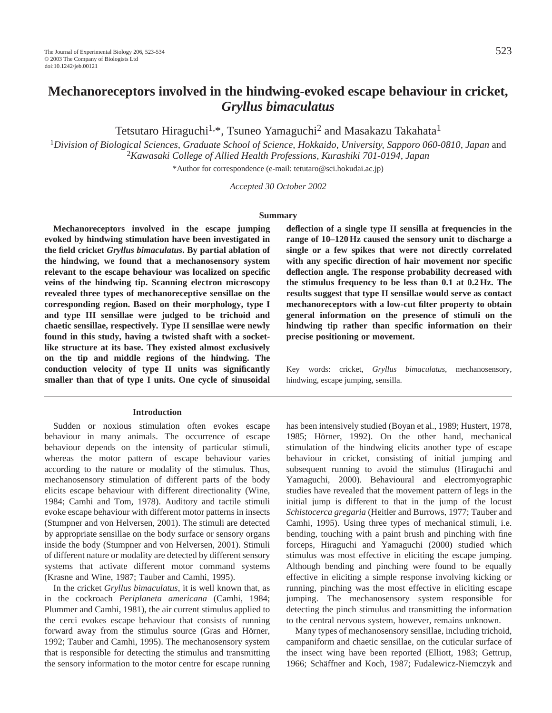Tetsutaro Hiraguchi<sup>1,\*</sup>, Tsuneo Yamaguchi<sup>2</sup> and Masakazu Takahata<sup>1</sup>

<sup>1</sup>*Division of Biological Sciences, Graduate School of Science, Hokkaido, University, Sapporo 060-0810, Japan* and <sup>2</sup>*Kawasaki College of Allied Health Professions, Kurashiki 701-0194, Japan*

\*Author for correspondence (e-mail: tetutaro@sci.hokudai.ac.jp)

*Accepted 30 October 2002*

#### **Summary**

**Mechanoreceptors involved in the escape jumping evoked by hindwing stimulation have been investigated in the field cricket** *Gryllus bimaculatus***. By partial ablation of the hindwing, we found that a mechanosensory system relevant to the escape behaviour was localized on specific veins of the hindwing tip. Scanning electron microscopy revealed three types of mechanoreceptive sensillae on the corresponding region. Based on their morphology, type I and type III sensillae were judged to be trichoid and chaetic sensillae, respectively. Type II sensillae were newly found in this study, having a twisted shaft with a socketlike structure at its base. They existed almost exclusively on the tip and middle regions of the hindwing. The conduction velocity of type II units was significantly smaller than that of type I units. One cycle of sinusoidal**

#### **Introduction**

Sudden or noxious stimulation often evokes escape behaviour in many animals. The occurrence of escape behaviour depends on the intensity of particular stimuli, whereas the motor pattern of escape behaviour varies according to the nature or modality of the stimulus. Thus, mechanosensory stimulation of different parts of the body elicits escape behaviour with different directionality (Wine, 1984; Camhi and Tom, 1978). Auditory and tactile stimuli evoke escape behaviour with different motor patterns in insects (Stumpner and von Helversen, 2001). The stimuli are detected by appropriate sensillae on the body surface or sensory organs inside the body (Stumpner and von Helversen, 2001). Stimuli of different nature or modality are detected by different sensory systems that activate different motor command systems (Krasne and Wine, 1987; Tauber and Camhi, 1995).

In the cricket *Gryllus bimaculatus*, it is well known that, as in the cockroach *Periplaneta americana* (Camhi, 1984; Plummer and Camhi, 1981), the air current stimulus applied to the cerci evokes escape behaviour that consists of running forward away from the stimulus source (Gras and Hörner, 1992; Tauber and Camhi, 1995). The mechanosensory system that is responsible for detecting the stimulus and transmitting the sensory information to the motor centre for escape running **deflection of a single type II sensilla at frequencies in the range of 10–120 Hz caused the sensory unit to discharge a single or a few spikes that were not directly correlated with any specific direction of hair movement nor specific deflection angle. The response probability decreased with the stimulus frequency to be less than 0.1 at 0.2 Hz. The results suggest that type II sensillae would serve as contact mechanoreceptors with a low-cut filter property to obtain general information on the presence of stimuli on the hindwing tip rather than specific information on their precise positioning or movement.**

Key words: cricket, *Gryllus bimaculatus*, mechanosensory, hindwing, escape jumping, sensilla.

has been intensively studied (Boyan et al., 1989; Hustert, 1978, 1985; Hörner, 1992). On the other hand, mechanical stimulation of the hindwing elicits another type of escape behaviour in cricket, consisting of initial jumping and subsequent running to avoid the stimulus (Hiraguchi and Yamaguchi, 2000). Behavioural and electromyographic studies have revealed that the movement pattern of legs in the initial jump is different to that in the jump of the locust *Schistocerca gregaria* (Heitler and Burrows, 1977; Tauber and Camhi, 1995). Using three types of mechanical stimuli, i.e. bending, touching with a paint brush and pinching with fine forceps, Hiraguchi and Yamaguchi (2000) studied which stimulus was most effective in eliciting the escape jumping. Although bending and pinching were found to be equally effective in eliciting a simple response involving kicking or running, pinching was the most effective in eliciting escape jumping. The mechanosensory system responsible for detecting the pinch stimulus and transmitting the information to the central nervous system, however, remains unknown.

Many types of mechanosensory sensillae, including trichoid, campaniform and chaetic sensillae, on the cuticular surface of the insect wing have been reported (Elliott, 1983; Gettrup, 1966; Schäffner and Koch, 1987; Fudalewicz-Niemczyk and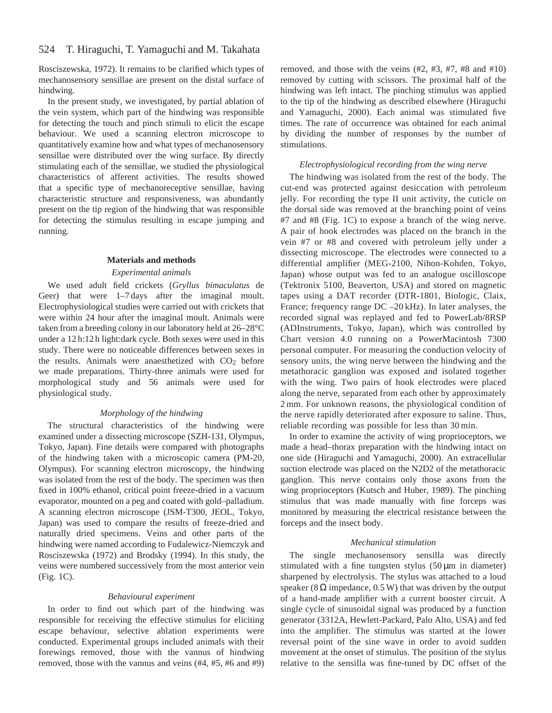Rosciszewska, 1972). It remains to be clarified which types of mechanosensory sensillae are present on the distal surface of hindwing.

In the present study, we investigated, by partial ablation of the vein system, which part of the hindwing was responsible for detecting the touch and pinch stimuli to elicit the escape behaviour. We used a scanning electron microscope to quantitatively examine how and what types of mechanosensory sensillae were distributed over the wing surface. By directly stimulating each of the sensillae, we studied the physiological characteristics of afferent activities. The results showed that a specific type of mechanoreceptive sensillae, having characteristic structure and responsiveness, was abundantly present on the tip region of the hindwing that was responsible for detecting the stimulus resulting in escape jumping and running.

# **Materials and methods**

# *Experimental animals*

We used adult field crickets (*Gryllus bimaculatus* de Geer) that were  $1-7$  days after the imaginal moult. Electrophysiological studies were carried out with crickets that were within 24 hour after the imaginal moult. Animals were taken from a breeding colony in our laboratory held at 26–28°C under a 12 h:12 h light:dark cycle. Both sexes were used in this study. There were no noticeable differences between sexes in the results. Animals were anaesthetized with  $CO<sub>2</sub>$  before we made preparations. Thirty-three animals were used for morphological study and 56 animals were used for physiological study.

# *Morphology of the hindwing*

The structural characteristics of the hindwing were examined under a dissecting microscope (SZH-131, Olympus, Tokyo, Japan). Fine details were compared with photographs of the hindwing taken with a microscopic camera (PM-20, Olympus). For scanning electron microscopy, the hindwing was isolated from the rest of the body. The specimen was then fixed in 100% ethanol, critical point freeze-dried in a vacuum evaporator, mounted on a peg and coated with gold–palladium. A scanning electron microscope (JSM-T300, JEOL, Tokyo, Japan) was used to compare the results of freeze-dried and naturally dried specimens. Veins and other parts of the hindwing were named according to Fudalewicz-Niemczyk and Rosciszewska (1972) and Brodsky (1994). In this study, the veins were numbered successively from the most anterior vein (Fig. 1C).

# *Behavioural experiment*

In order to find out which part of the hindwing was responsible for receiving the effective stimulus for eliciting escape behaviour, selective ablation experiments were conducted. Experimental groups included animals with their forewings removed, those with the vannus of hindwing removed, those with the vannus and veins (#4, #5, #6 and #9) removed, and those with the veins (#2, #3, #7, #8 and #10) removed by cutting with scissors. The proximal half of the hindwing was left intact. The pinching stimulus was applied to the tip of the hindwing as described elsewhere (Hiraguchi and Yamaguchi, 2000). Each animal was stimulated five times. The rate of occurrence was obtained for each animal by dividing the number of responses by the number of stimulations.

# *Electrophysiological recording from the wing nerve*

The hindwing was isolated from the rest of the body. The cut-end was protected against desiccation with petroleum jelly. For recording the type II unit activity, the cuticle on the dorsal side was removed at the branching point of veins #7 and #8 (Fig. 1C) to expose a branch of the wing nerve. A pair of hook electrodes was placed on the branch in the vein #7 or #8 and covered with petroleum jelly under a dissecting microscope. The electrodes were connected to a differential amplifier (MEG-2100, Nihon-Kohden, Tokyo, Japan) whose output was fed to an analogue oscilloscope (Tektronix 5100, Beaverton, USA) and stored on magnetic tapes using a DAT recorder (DTR-1801, Biologic, Claix, France; frequency range DC –20 kHz). In later analyses, the recorded signal was replayed and fed to PowerLab/8RSP (ADInstruments, Tokyo, Japan), which was controlled by Chart version 4.0 running on a PowerMacintosh 7300 personal computer. For measuring the conduction velocity of sensory units, the wing nerve between the hindwing and the metathoracic ganglion was exposed and isolated together with the wing. Two pairs of hook electrodes were placed along the nerve, separated from each other by approximately 2 mm. For unknown reasons, the physiological condition of the nerve rapidly deteriorated after exposure to saline. Thus, reliable recording was possible for less than 30 min.

In order to examine the activity of wing proprioceptors, we made a head–thorax preparation with the hindwing intact on one side (Hiraguchi and Yamaguchi, 2000). An extracellular suction electrode was placed on the N2D2 of the metathoracic ganglion. This nerve contains only those axons from the wing proprioceptors (Kutsch and Huber, 1989). The pinching stimulus that was made manually with fine forceps was monitored by measuring the electrical resistance between the forceps and the insect body.

## *Mechanical stimulation*

The single mechanosensory sensilla was directly stimulated with a fine tungsten stylus  $(50 \,\mu m)$  in diameter) sharpened by electrolysis. The stylus was attached to a loud speaker ( $8 \Omega$  impedance,  $0.5 W$ ) that was driven by the output of a hand-made amplifier with a current booster circuit. A single cycle of sinusoidal signal was produced by a function generator (3312A, Hewlett-Packard, Palo Alto, USA) and fed into the amplifier. The stimulus was started at the lower reversal point of the sine wave in order to avoid sudden movement at the onset of stimulus. The position of the stylus relative to the sensilla was fine-tuned by DC offset of the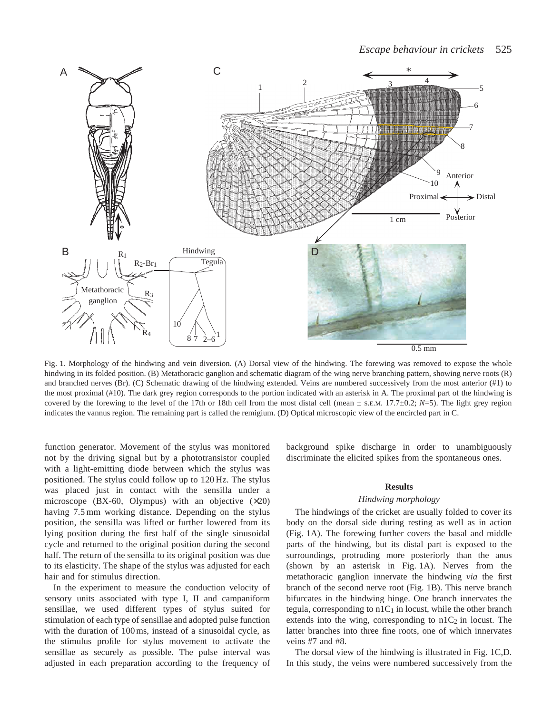

Fig. 1. Morphology of the hindwing and vein diversion. (A) Dorsal view of the hindwing. The forewing was removed to expose the whole hindwing in its folded position. (B) Metathoracic ganglion and schematic diagram of the wing nerve branching pattern, showing nerve roots (R) and branched nerves (Br). (C) Schematic drawing of the hindwing extended. Veins are numbered successively from the most anterior (#1) to the most proximal (#10). The dark grey region corresponds to the portion indicated with an asterisk in A. The proximal part of the hindwing is covered by the forewing to the level of the 17th or 18th cell from the most distal cell (mean  $\pm$  s.e.m. 17.7 $\pm$ 0.2; *N*=5). The light grey region indicates the vannus region. The remaining part is called the remigium. (D) Optical microscopic view of the encircled part in C.

function generator. Movement of the stylus was monitored not by the driving signal but by a phototransistor coupled with a light-emitting diode between which the stylus was positioned. The stylus could follow up to 120 Hz. The stylus was placed just in contact with the sensilla under a microscope (BX-60, Olympus) with an objective  $(x20)$ having 7.5 mm working distance. Depending on the stylus position, the sensilla was lifted or further lowered from its lying position during the first half of the single sinusoidal cycle and returned to the original position during the second half. The return of the sensilla to its original position was due to its elasticity. The shape of the stylus was adjusted for each hair and for stimulus direction.

In the experiment to measure the conduction velocity of sensory units associated with type I, II and campaniform sensillae, we used different types of stylus suited for stimulation of each type of sensillae and adopted pulse function with the duration of 100 ms, instead of a sinusoidal cycle, as the stimulus profile for stylus movement to activate the sensillae as securely as possible. The pulse interval was adjusted in each preparation according to the frequency of background spike discharge in order to unambiguously discriminate the elicited spikes from the spontaneous ones.

#### **Results**

## *Hindwing morphology*

The hindwings of the cricket are usually folded to cover its body on the dorsal side during resting as well as in action (Fig. 1A). The forewing further covers the basal and middle parts of the hindwing, but its distal part is exposed to the surroundings, protruding more posteriorly than the anus (shown by an asterisk in Fig. 1A). Nerves from the metathoracic ganglion innervate the hindwing *via* the first branch of the second nerve root (Fig. 1B). This nerve branch bifurcates in the hindwing hinge. One branch innervates the tegula, corresponding to  $n1C_1$  in locust, while the other branch extends into the wing, corresponding to  $n1C_2$  in locust. The latter branches into three fine roots, one of which innervates veins #7 and #8.

The dorsal view of the hindwing is illustrated in Fig. 1C,D. In this study, the veins were numbered successively from the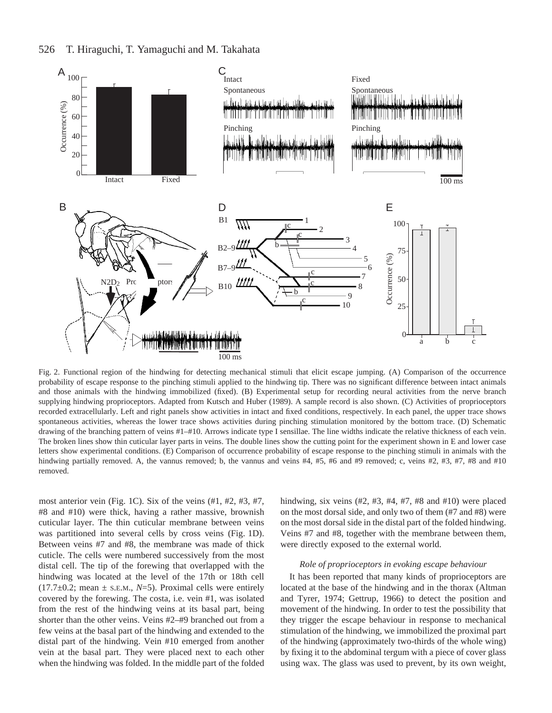

Fig. 2. Functional region of the hindwing for detecting mechanical stimuli that elicit escape jumping. (A) Comparison of the occurrence probability of escape response to the pinching stimuli applied to the hindwing tip. There was no significant difference between intact animals and those animals with the hindwing immobilized (fixed). (B) Experimental setup for recording neural activities from the nerve branch supplying hindwing proprioceptors. Adapted from Kutsch and Huber (1989). A sample record is also shown. (C) Activities of proprioceptors recorded extracellularly. Left and right panels show activities in intact and fixed conditions, respectively. In each panel, the upper trace shows spontaneous activities, whereas the lower trace shows activities during pinching stimulation monitored by the bottom trace. (D) Schematic drawing of the branching pattern of veins #1–#10. Arrows indicate type I sensillae. The line widths indicate the relative thickness of each vein. The broken lines show thin cuticular layer parts in veins. The double lines show the cutting point for the experiment shown in E and lower case letters show experimental conditions. (E) Comparison of occurrence probability of escape response to the pinching stimuli in animals with the hindwing partially removed. A, the vannus removed; b, the vannus and veins #4, #5, #6 and #9 removed; c, veins #2, #3, #7, #8 and #10 removed.

most anterior vein (Fig. 1C). Six of the veins (#1, #2, #3, #7, #8 and #10) were thick, having a rather massive, brownish cuticular layer. The thin cuticular membrane between veins was partitioned into several cells by cross veins (Fig. 1D). Between veins #7 and #8, the membrane was made of thick cuticle. The cells were numbered successively from the most distal cell. The tip of the forewing that overlapped with the hindwing was located at the level of the 17th or 18th cell  $(17.7\pm0.2; \text{ mean } \pm \text{ s.E.M.}, N=5)$ . Proximal cells were entirely covered by the forewing. The costa, i.e. vein #1, was isolated from the rest of the hindwing veins at its basal part, being shorter than the other veins. Veins #2–#9 branched out from a few veins at the basal part of the hindwing and extended to the distal part of the hindwing. Vein #10 emerged from another vein at the basal part. They were placed next to each other when the hindwing was folded. In the middle part of the folded hindwing, six veins (#2, #3, #4, #7, #8 and #10) were placed on the most dorsal side, and only two of them (#7 and #8) were on the most dorsal side in the distal part of the folded hindwing. Veins #7 and #8, together with the membrane between them, were directly exposed to the external world.

#### *Role of proprioceptors in evoking escape behaviour*

It has been reported that many kinds of proprioceptors are located at the base of the hindwing and in the thorax (Altman and Tyrer, 1974; Gettrup, 1966) to detect the position and movement of the hindwing. In order to test the possibility that they trigger the escape behaviour in response to mechanical stimulation of the hindwing, we immobilized the proximal part of the hindwing (approximately two-thirds of the whole wing) by fixing it to the abdominal tergum with a piece of cover glass using wax. The glass was used to prevent, by its own weight,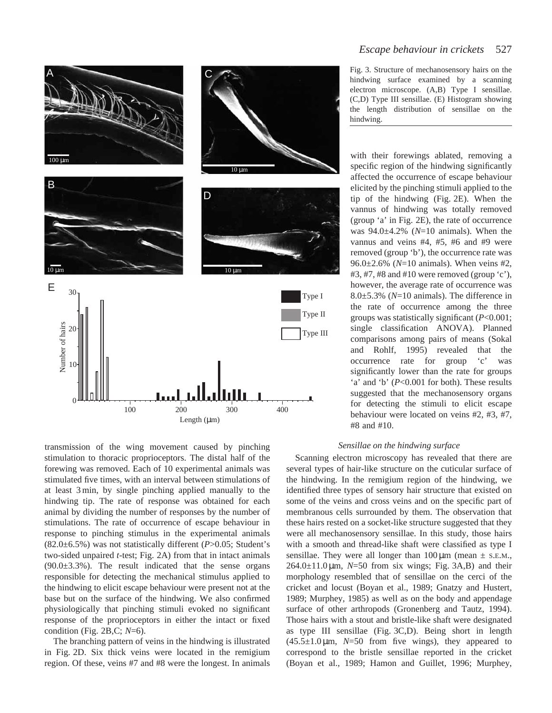

transmission of the wing movement caused by pinching stimulation to thoracic proprioceptors. The distal half of the forewing was removed. Each of 10 experimental animals was stimulated five times, with an interval between stimulations of at least 3 min, by single pinching applied manually to the hindwing tip. The rate of response was obtained for each animal by dividing the number of responses by the number of stimulations. The rate of occurrence of escape behaviour in response to pinching stimulus in the experimental animals (82.0±6.5%) was not statistically different (*P*>0.05; Student's two-sided unpaired *t*-test; Fig. 2A) from that in intact animals  $(90.0±3.3%)$ . The result indicated that the sense organs responsible for detecting the mechanical stimulus applied to the hindwing to elicit escape behaviour were present not at the base but on the surface of the hindwing. We also confirmed physiologically that pinching stimuli evoked no significant response of the proprioceptors in either the intact or fixed condition (Fig. 2B,C; *N*=6).

The branching pattern of veins in the hindwing is illustrated in Fig. 2D. Six thick veins were located in the remigium region. Of these, veins #7 and #8 were the longest. In animals Fig. 3. Structure of mechanosensory hairs on the hindwing surface examined by a scanning electron microscope. (A,B) Type I sensillae. (C,D) Type III sensillae. (E) Histogram showing the length distribution of sensillae on the hindwing.

with their forewings ablated, removing a specific region of the hindwing significantly affected the occurrence of escape behaviour elicited by the pinching stimuli applied to the tip of the hindwing (Fig. 2E). When the vannus of hindwing was totally removed (group 'a' in Fig. 2E), the rate of occurrence was 94.0±4.2% (*N*=10 animals). When the vannus and veins #4, #5, #6 and #9 were removed (group 'b'), the occurrence rate was 96.0±2.6% (*N*=10 animals). When veins #2, #3, #7, #8 and #10 were removed (group  $\lq c$ ), however, the average rate of occurrence was 8.0±5.3% (*N*=10 animals). The difference in the rate of occurrence among the three groups was statistically significant (*P*<0.001; single classification ANOVA). Planned comparisons among pairs of means (Sokal and Rohlf, 1995) revealed that the occurrence rate for group 'c' was significantly lower than the rate for groups 'a' and 'b' (*P*<0.001 for both). These results suggested that the mechanosensory organs for detecting the stimuli to elicit escape behaviour were located on veins #2, #3, #7, #8 and #10.

## *Sensillae on the hindwing surface*

Scanning electron microscopy has revealed that there are several types of hair-like structure on the cuticular surface of the hindwing. In the remigium region of the hindwing, we identified three types of sensory hair structure that existed on some of the veins and cross veins and on the specific part of membranous cells surrounded by them. The observation that these hairs rested on a socket-like structure suggested that they were all mechanosensory sensillae. In this study, those hairs with a smooth and thread-like shaft were classified as type I sensillae. They were all longer than  $100 \mu m$  (mean  $\pm$  s.e.m.,  $264.0\pm11.0 \,\mu m$ ,  $N=50$  from six wings; Fig. 3A,B) and their morphology resembled that of sensillae on the cerci of the cricket and locust (Boyan et al., 1989; Gnatzy and Hustert, 1989; Murphey, 1985) as well as on the body and appendage surface of other arthropods (Gronenberg and Tautz, 1994). Those hairs with a stout and bristle-like shaft were designated as type III sensillae (Fig. 3C,D). Being short in length  $(45.5\pm1.0 \,\text{\mu m}, N=50 \text{ from five wings}),$  they appeared to correspond to the bristle sensillae reported in the cricket (Boyan et al., 1989; Hamon and Guillet, 1996; Murphey,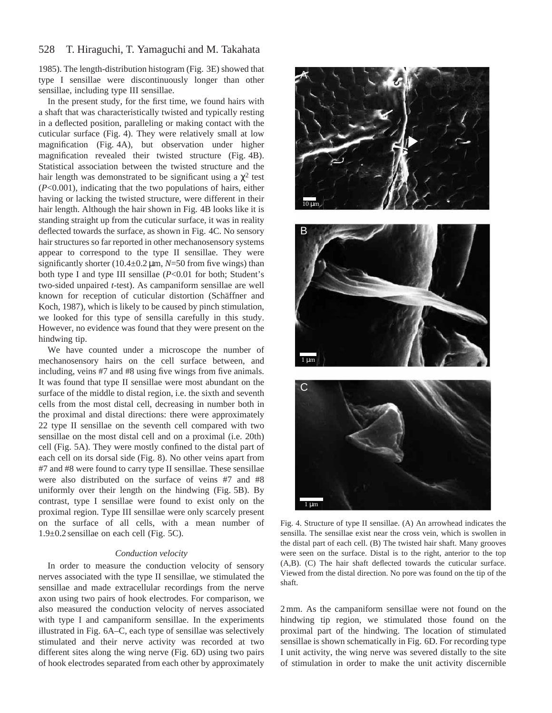#### 528 T. Hiraguchi, T. Yamaguchi and M. Takahata

1985). The length-distribution histogram (Fig. 3E) showed that type I sensillae were discontinuously longer than other sensillae, including type III sensillae.

In the present study, for the first time, we found hairs with a shaft that was characteristically twisted and typically resting in a deflected position, paralleling or making contact with the cuticular surface (Fig. 4). They were relatively small at low magnification (Fig. 4A), but observation under higher magnification revealed their twisted structure (Fig. 4B). Statistical association between the twisted structure and the hair length was demonstrated to be significant using a  $\chi^2$  test (*P*<0.001), indicating that the two populations of hairs, either having or lacking the twisted structure, were different in their hair length. Although the hair shown in Fig. 4B looks like it is standing straight up from the cuticular surface, it was in reality deflected towards the surface, as shown in Fig. 4C. No sensory hair structures so far reported in other mechanosensory systems appear to correspond to the type II sensillae. They were significantly shorter  $(10.4\pm 0.2 \,\mu\text{m}, N=50 \text{ from five wings})$  than both type I and type III sensillae (*P*<0.01 for both; Student's two-sided unpaired *t*-test). As campaniform sensillae are well known for reception of cuticular distortion (Schäffner and Koch, 1987), which is likely to be caused by pinch stimulation, we looked for this type of sensilla carefully in this study. However, no evidence was found that they were present on the hindwing tip.

We have counted under a microscope the number of mechanosensory hairs on the cell surface between, and including, veins #7 and #8 using five wings from five animals. It was found that type II sensillae were most abundant on the surface of the middle to distal region, i.e. the sixth and seventh cells from the most distal cell, decreasing in number both in the proximal and distal directions: there were approximately 22 type II sensillae on the seventh cell compared with two sensillae on the most distal cell and on a proximal (i.e. 20th) cell (Fig. 5A). They were mostly confined to the distal part of each cell on its dorsal side (Fig. 8). No other veins apart from #7 and #8 were found to carry type II sensillae. These sensillae were also distributed on the surface of veins #7 and #8 uniformly over their length on the hindwing (Fig. 5B). By contrast, type I sensillae were found to exist only on the proximal region. Type III sensillae were only scarcely present on the surface of all cells, with a mean number of 1.9±0.2 sensillae on each cell (Fig. 5C).

# *Conduction velocity*

In order to measure the conduction velocity of sensory nerves associated with the type II sensillae, we stimulated the sensillae and made extracellular recordings from the nerve axon using two pairs of hook electrodes. For comparison, we also measured the conduction velocity of nerves associated with type I and campaniform sensillae. In the experiments illustrated in Fig. 6A–C, each type of sensillae was selectively stimulated and their nerve activity was recorded at two different sites along the wing nerve (Fig. 6D) using two pairs of hook electrodes separated from each other by approximately



Fig. 4. Structure of type II sensillae. (A) An arrowhead indicates the sensilla. The sensillae exist near the cross vein, which is swollen in the distal part of each cell. (B) The twisted hair shaft. Many grooves were seen on the surface. Distal is to the right, anterior to the top (A,B). (C) The hair shaft deflected towards the cuticular surface. Viewed from the distal direction. No pore was found on the tip of the shaft.

2 mm. As the campaniform sensillae were not found on the hindwing tip region, we stimulated those found on the proximal part of the hindwing. The location of stimulated sensillae is shown schematically in Fig. 6D. For recording type I unit activity, the wing nerve was severed distally to the site of stimulation in order to make the unit activity discernible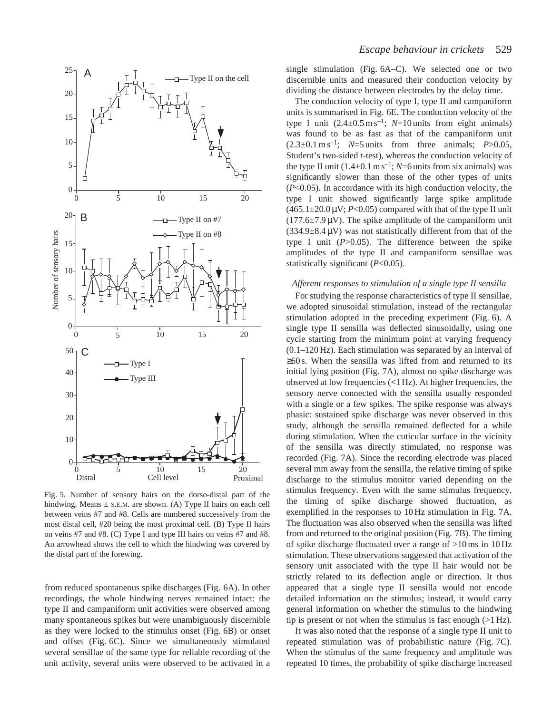

Fig. 5. Number of sensory hairs on the dorso-distal part of the hindwing. Means  $\pm$  s.E.M. are shown. (A) Type II hairs on each cell between veins #7 and #8. Cells are numbered successively from the most distal cell, #20 being the most proximal cell. (B) Type II hairs on veins #7 and #8. (C) Type I and type III hairs on veins #7 and #8. An arrowhead shows the cell to which the hindwing was covered by the distal part of the forewing.

from reduced spontaneous spike discharges (Fig. 6A). In other recordings, the whole hindwing nerves remained intact: the type II and campaniform unit activities were observed among many spontaneous spikes but were unambiguously discernible as they were locked to the stimulus onset (Fig. 6B) or onset and offset (Fig. 6C). Since we simultaneously stimulated several sensillae of the same type for reliable recording of the unit activity, several units were observed to be activated in a single stimulation (Fig. 6A–C). We selected one or two discernible units and measured their conduction velocity by dividing the distance between electrodes by the delay time.

The conduction velocity of type I, type II and campaniform units is summarised in Fig. 6E. The conduction velocity of the type I unit  $(2.4 \pm 0.5 \text{ m s}^{-1})$ ; *N*=10 units from eight animals) was found to be as fast as that of the campaniform unit  $(2.3\pm0.1 \text{ m s}^{-1})$ ; *N*=5 units from three animals; *P*>0.05, Student's two-sided *t*-test), whereas the conduction velocity of the type II unit  $(1.4\pm0.1 \text{ m s}^{-1})$ ; *N*=6 units from six animals) was significantly slower than those of the other types of units (*P*<0.05). In accordance with its high conduction velocity, the type I unit showed significantly large spike amplitude  $(465.1 \pm 20.0 \,\mu\text{V}; P < 0.05)$  compared with that of the type II unit  $(177.6\pm7.9 \,\mu\text{V})$ . The spike amplitude of the campaniform unit  $(334.9\pm8.4 \,\mu\text{V})$  was not statistically different from that of the type I unit (*P*>0.05). The difference between the spike amplitudes of the type II and campaniform sensillae was statistically significant (*P*<0.05).

# *Afferent responses to stimulation of a single type II sensilla*

For studying the response characteristics of type II sensillae, we adopted sinusoidal stimulation, instead of the rectangular stimulation adopted in the preceding experiment (Fig. 6). A single type II sensilla was deflected sinusoidally, using one cycle starting from the minimum point at varying frequency (0.1–120 Hz). Each stimulation was separated by an interval of  $\geq 60$  s. When the sensilla was lifted from and returned to its initial lying position (Fig. 7A), almost no spike discharge was observed at low frequencies (<1 Hz). At higher frequencies, the sensory nerve connected with the sensilla usually responded with a single or a few spikes. The spike response was always phasic: sustained spike discharge was never observed in this study, although the sensilla remained deflected for a while during stimulation. When the cuticular surface in the vicinity of the sensilla was directly stimulated, no response was recorded (Fig. 7A). Since the recording electrode was placed several mm away from the sensilla, the relative timing of spike discharge to the stimulus monitor varied depending on the stimulus frequency. Even with the same stimulus frequency, the timing of spike discharge showed fluctuation, as exemplified in the responses to 10 Hz stimulation in Fig. 7A. The fluctuation was also observed when the sensilla was lifted from and returned to the original position (Fig. 7B). The timing of spike discharge fluctuated over a range of >10 ms in 10 Hz stimulation. These observations suggested that activation of the sensory unit associated with the type II hair would not be strictly related to its deflection angle or direction. It thus appeared that a single type II sensilla would not encode detailed information on the stimulus; instead, it would carry general information on whether the stimulus to the hindwing tip is present or not when the stimulus is fast enough  $(>1 Hz)$ .

It was also noted that the response of a single type II unit to repeated stimulation was of probabilistic nature (Fig. 7C). When the stimulus of the same frequency and amplitude was repeated 10 times, the probability of spike discharge increased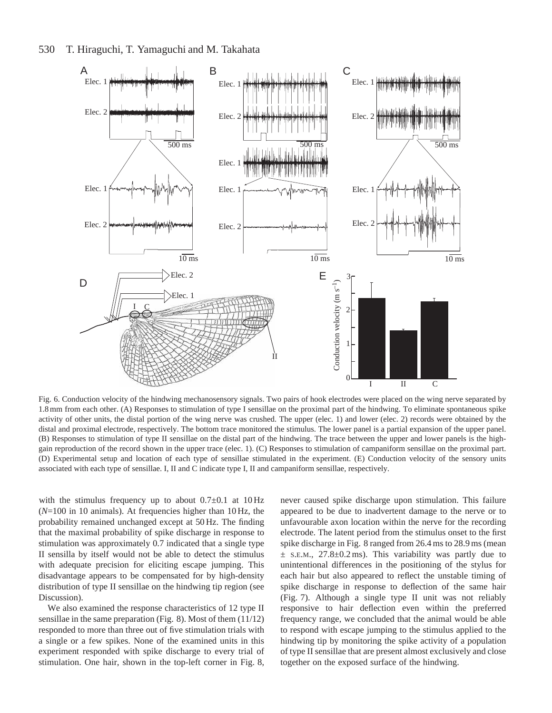530 T. Hiraguchi, T. Yamaguchi and M. Takahata



Fig. 6. Conduction velocity of the hindwing mechanosensory signals. Two pairs of hook electrodes were placed on the wing nerve separated by 1.8 mm from each other. (A) Responses to stimulation of type I sensillae on the proximal part of the hindwing. To eliminate spontaneous spike activity of other units, the distal portion of the wing nerve was crushed. The upper (elec. 1) and lower (elec. 2) records were obtained by the distal and proximal electrode, respectively. The bottom trace monitored the stimulus. The lower panel is a partial expansion of the upper panel. (B) Responses to stimulation of type II sensillae on the distal part of the hindwing. The trace between the upper and lower panels is the highgain reproduction of the record shown in the upper trace (elec. 1). (C) Responses to stimulation of campaniform sensillae on the proximal part. (D) Experimental setup and location of each type of sensillae stimulated in the experiment. (E) Conduction velocity of the sensory units associated with each type of sensillae. I, II and C indicate type I, II and campaniform sensillae, respectively.

with the stimulus frequency up to about  $0.7\pm0.1$  at  $10\,\text{Hz}$ (*N*=100 in 10 animals). At frequencies higher than 10 Hz, the probability remained unchanged except at 50 Hz. The finding that the maximal probability of spike discharge in response to stimulation was approximately 0.7 indicated that a single type II sensilla by itself would not be able to detect the stimulus with adequate precision for eliciting escape jumping. This disadvantage appears to be compensated for by high-density distribution of type II sensillae on the hindwing tip region (see Discussion).

We also examined the response characteristics of 12 type II sensillae in the same preparation (Fig. 8). Most of them (11/12) responded to more than three out of five stimulation trials with a single or a few spikes. None of the examined units in this experiment responded with spike discharge to every trial of stimulation. One hair, shown in the top-left corner in Fig. 8,

never caused spike discharge upon stimulation. This failure appeared to be due to inadvertent damage to the nerve or to unfavourable axon location within the nerve for the recording electrode. The latent period from the stimulus onset to the first spike discharge in Fig. 8 ranged from 26.4 ms to 28.9 ms (mean  $\pm$  s.e.m., 27.8 $\pm$ 0.2 ms). This variability was partly due to unintentional differences in the positioning of the stylus for each hair but also appeared to reflect the unstable timing of spike discharge in response to deflection of the same hair (Fig. 7). Although a single type II unit was not reliably responsive to hair deflection even within the preferred frequency range, we concluded that the animal would be able to respond with escape jumping to the stimulus applied to the hindwing tip by monitoring the spike activity of a population of type II sensillae that are present almost exclusively and close together on the exposed surface of the hindwing.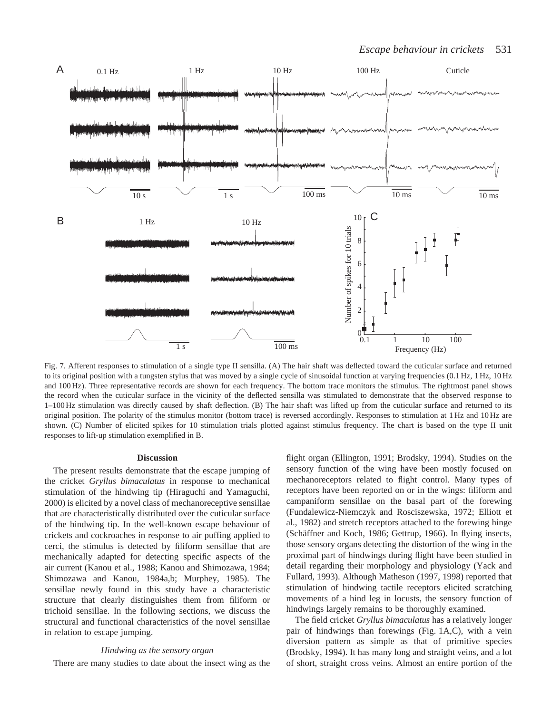

Fig. 7. Afferent responses to stimulation of a single type II sensilla. (A) The hair shaft was deflected toward the cuticular surface and returned to its original position with a tungsten stylus that was moved by a single cycle of sinusoidal function at varying frequencies (0.1 Hz, 1 Hz, 10 Hz and 100 Hz). Three representative records are shown for each frequency. The bottom trace monitors the stimulus. The rightmost panel shows the record when the cuticular surface in the vicinity of the deflected sensilla was stimulated to demonstrate that the observed response to 1–100 Hz stimulation was directly caused by shaft deflection. (B) The hair shaft was lifted up from the cuticular surface and returned to its original position. The polarity of the stimulus monitor (bottom trace) is reversed accordingly. Responses to stimulation at 1 Hz and 10 Hz are shown. (C) Number of elicited spikes for 10 stimulation trials plotted against stimulus frequency. The chart is based on the type II unit responses to lift-up stimulation exemplified in B.

#### **Discussion**

The present results demonstrate that the escape jumping of the cricket *Gryllus bimaculatus* in response to mechanical stimulation of the hindwing tip (Hiraguchi and Yamaguchi, 2000) is elicited by a novel class of mechanoreceptive sensillae that are characteristically distributed over the cuticular surface of the hindwing tip. In the well-known escape behaviour of crickets and cockroaches in response to air puffing applied to cerci, the stimulus is detected by filiform sensillae that are mechanically adapted for detecting specific aspects of the air current (Kanou et al., 1988; Kanou and Shimozawa, 1984; Shimozawa and Kanou, 1984a,b; Murphey, 1985). The sensillae newly found in this study have a characteristic structure that clearly distinguishes them from filiform or trichoid sensillae. In the following sections, we discuss the structural and functional characteristics of the novel sensillae in relation to escape jumping.

## *Hindwing as the sensory organ*

There are many studies to date about the insect wing as the

flight organ (Ellington, 1991; Brodsky, 1994). Studies on the sensory function of the wing have been mostly focused on mechanoreceptors related to flight control. Many types of receptors have been reported on or in the wings: filiform and campaniform sensillae on the basal part of the forewing (Fundalewicz-Niemczyk and Rosciszewska, 1972; Elliott et al., 1982) and stretch receptors attached to the forewing hinge (Schäffner and Koch, 1986; Gettrup, 1966). In flying insects, those sensory organs detecting the distortion of the wing in the proximal part of hindwings during flight have been studied in detail regarding their morphology and physiology (Yack and Fullard, 1993). Although Matheson (1997, 1998) reported that stimulation of hindwing tactile receptors elicited scratching movements of a hind leg in locusts, the sensory function of hindwings largely remains to be thoroughly examined.

The field cricket *Gryllus bimaculatus* has a relatively longer pair of hindwings than forewings (Fig. 1A,C), with a vein diversion pattern as simple as that of primitive species (Brodsky, 1994). It has many long and straight veins, and a lot of short, straight cross veins. Almost an entire portion of the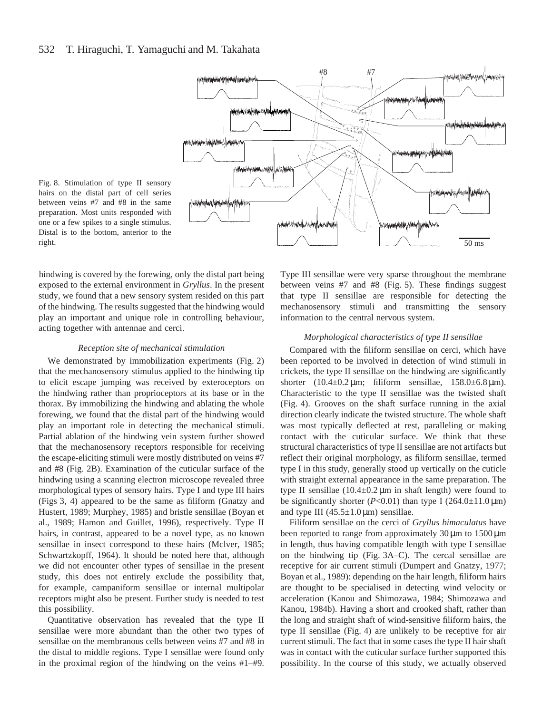

Fig. 8. Stimulation of type II sensory hairs on the distal part of cell series between veins #7 and #8 in the same preparation. Most units responded with one or a few spikes to a single stimulus. Distal is to the bottom, anterior to the right.

hindwing is covered by the forewing, only the distal part being exposed to the external environment in *Gryllus*. In the present study, we found that a new sensory system resided on this part of the hindwing. The results suggested that the hindwing would play an important and unique role in controlling behaviour, acting together with antennae and cerci.

## *Reception site of mechanical stimulation*

We demonstrated by immobilization experiments (Fig. 2) that the mechanosensory stimulus applied to the hindwing tip to elicit escape jumping was received by exteroceptors on the hindwing rather than proprioceptors at its base or in the thorax. By immobilizing the hindwing and ablating the whole forewing, we found that the distal part of the hindwing would play an important role in detecting the mechanical stimuli. Partial ablation of the hindwing vein system further showed that the mechanosensory receptors responsible for receiving the escape-eliciting stimuli were mostly distributed on veins #7 and #8 (Fig. 2B). Examination of the cuticular surface of the hindwing using a scanning electron microscope revealed three morphological types of sensory hairs. Type I and type III hairs (Figs 3, 4) appeared to be the same as filiform (Gnatzy and Hustert, 1989; Murphey, 1985) and bristle sensillae (Boyan et al., 1989; Hamon and Guillet, 1996), respectively. Type II hairs, in contrast, appeared to be a novel type, as no known sensillae in insect correspond to these hairs (Mclver, 1985; Schwartzkopff, 1964). It should be noted here that, although we did not encounter other types of sensillae in the present study, this does not entirely exclude the possibility that, for example, campaniform sensillae or internal multipolar receptors might also be present. Further study is needed to test this possibility.

Quantitative observation has revealed that the type II sensillae were more abundant than the other two types of sensillae on the membranous cells between veins #7 and #8 in the distal to middle regions. Type I sensillae were found only in the proximal region of the hindwing on the veins #1–#9. Type III sensillae were very sparse throughout the membrane between veins #7 and #8 (Fig. 5). These findings suggest that type II sensillae are responsible for detecting the mechanosensory stimuli and transmitting the sensory information to the central nervous system.

# *Morphological characteristics of type II sensillae*

Compared with the filiform sensillae on cerci, which have been reported to be involved in detection of wind stimuli in crickets, the type II sensillae on the hindwing are significantly shorter  $(10.4\pm0.2 \,\text{\mu m}$ ; filiform sensillae,  $158.0\pm6.8 \,\text{\mu m}$ ). Characteristic to the type II sensillae was the twisted shaft (Fig. 4). Grooves on the shaft surface running in the axial direction clearly indicate the twisted structure. The whole shaft was most typically deflected at rest, paralleling or making contact with the cuticular surface. We think that these structural characteristics of type II sensillae are not artifacts but reflect their original morphology, as filiform sensillae, termed type I in this study, generally stood up vertically on the cuticle with straight external appearance in the same preparation. The type II sensillae  $(10.4 \pm 0.2 \,\mu m)$  in shaft length) were found to be significantly shorter ( $P<0.01$ ) than type I ( $264.0\pm11.0 \,\mu m$ ) and type III  $(45.5 \pm 1.0 \,\mu m)$  sensillae.

Filiform sensillae on the cerci of *Gryllus bimaculatus* have been reported to range from approximately 30  $\mu$ m to 1500  $\mu$ m in length, thus having compatible length with type I sensillae on the hindwing tip (Fig. 3A–C). The cercal sensillae are receptive for air current stimuli (Dumpert and Gnatzy, 1977; Boyan et al., 1989): depending on the hair length, filiform hairs are thought to be specialised in detecting wind velocity or acceleration (Kanou and Shimozawa, 1984; Shimozawa and Kanou, 1984b). Having a short and crooked shaft, rather than the long and straight shaft of wind-sensitive filiform hairs, the type II sensillae (Fig. 4) are unlikely to be receptive for air current stimuli. The fact that in some cases the type II hair shaft was in contact with the cuticular surface further supported this possibility. In the course of this study, we actually observed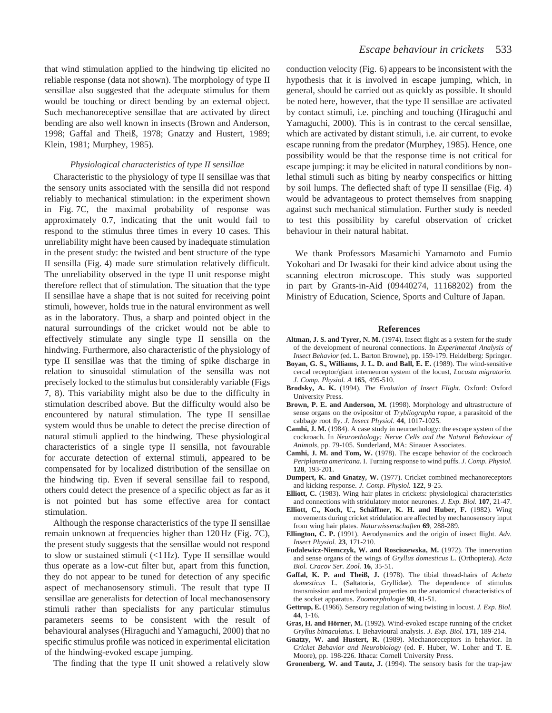that wind stimulation applied to the hindwing tip elicited no reliable response (data not shown). The morphology of type II sensillae also suggested that the adequate stimulus for them would be touching or direct bending by an external object. Such mechanoreceptive sensillae that are activated by direct bending are also well known in insects (Brown and Anderson, 1998; Gaffal and Theiß, 1978; Gnatzy and Hustert, 1989; Klein, 1981; Murphey, 1985).

# *Physiological characteristics of type II sensillae*

Characteristic to the physiology of type II sensillae was that the sensory units associated with the sensilla did not respond reliably to mechanical stimulation: in the experiment shown in Fig. 7C, the maximal probability of response was approximately 0.7, indicating that the unit would fail to respond to the stimulus three times in every 10 cases. This unreliability might have been caused by inadequate stimulation in the present study: the twisted and bent structure of the type II sensilla (Fig. 4) made sure stimulation relatively difficult. The unreliability observed in the type II unit response might therefore reflect that of stimulation. The situation that the type II sensillae have a shape that is not suited for receiving point stimuli, however, holds true in the natural environment as well as in the laboratory. Thus, a sharp and pointed object in the natural surroundings of the cricket would not be able to effectively stimulate any single type II sensilla on the hindwing. Furthermore, also characteristic of the physiology of type II sensillae was that the timing of spike discharge in relation to sinusoidal stimulation of the sensilla was not precisely locked to the stimulus but considerably variable (Figs 7, 8). This variability might also be due to the difficulty in stimulation described above. But the difficulty would also be encountered by natural stimulation. The type II sensillae system would thus be unable to detect the precise direction of natural stimuli applied to the hindwing. These physiological characteristics of a single type II sensilla, not favourable for accurate detection of external stimuli, appeared to be compensated for by localized distribution of the sensillae on the hindwing tip. Even if several sensillae fail to respond, others could detect the presence of a specific object as far as it is not pointed but has some effective area for contact stimulation.

Although the response characteristics of the type II sensillae remain unknown at frequencies higher than 120 Hz (Fig. 7C), the present study suggests that the sensillae would not respond to slow or sustained stimuli  $\left($  <1 Hz). Type II sensillae would thus operate as a low-cut filter but, apart from this function, they do not appear to be tuned for detection of any specific aspect of mechanosensory stimuli. The result that type II sensillae are generalists for detection of local mechanosensory stimuli rather than specialists for any particular stimulus parameters seems to be consistent with the result of behavioural analyses (Hiraguchi and Yamaguchi, 2000) that no specific stimulus profile was noticed in experimental elicitation of the hindwing-evoked escape jumping.

The finding that the type II unit showed a relatively slow

conduction velocity (Fig. 6) appears to be inconsistent with the hypothesis that it is involved in escape jumping, which, in general, should be carried out as quickly as possible. It should be noted here, however, that the type II sensillae are activated by contact stimuli, i.e. pinching and touching (Hiraguchi and Yamaguchi, 2000). This is in contrast to the cercal sensillae, which are activated by distant stimuli, i.e. air current, to evoke escape running from the predator (Murphey, 1985). Hence, one possibility would be that the response time is not critical for escape jumping: it may be elicited in natural conditions by nonlethal stimuli such as biting by nearby conspecifics or hitting by soil lumps. The deflected shaft of type II sensillae (Fig. 4) would be advantageous to protect themselves from snapping against such mechanical stimulation. Further study is needed to test this possibility by careful observation of cricket behaviour in their natural habitat.

We thank Professors Masamichi Yamamoto and Fumio Yokohari and Dr Iwasaki for their kind advice about using the scanning electron microscope. This study was supported in part by Grants-in-Aid (09440274, 11168202) from the Ministry of Education, Science, Sports and Culture of Japan.

## **References**

- **Altman, J. S. and Tyrer, N. M.** (1974). Insect flight as a system for the study of the development of neuronal connections. In *Experimental Analysis of Insect Behavior* (ed. L. Barton Browne), pp. 159-179. Heidelberg: Springer.
- **Boyan, G. S., Williams, J. L. D. and Ball, E. E.** (1989). The wind-sensitive cercal receptor/giant interneuron system of the locust, *Locusta migratoria. J. Comp. Physiol. A* **165**, 495-510.
- **Brodsky, A. K.** (1994). *The Evolution of Insect Flight.* Oxford: Oxford University Press.
- **Brown, P. E. and Anderson, M.** (1998). Morphology and ultrastructure of sense organs on the ovipositor of *Trybliographa rapae*, a parasitoid of the cabbage root fly. *J. Insect Physiol*. **44**, 1017-1025.
- **Camhi, J. M.** (1984). A case study in neuroethology: the escape system of the cockroach. In *Neuroethology: Nerve Cells and the Natural Behaviour of Animals*, pp. 79-105. Sunderland, MA: Sinauer Associates.
- **Camhi, J. M. and Tom, W.** (1978). The escape behavior of the cockroach *Periplaneta americana.* I. Turning response to wind puffs. *J. Comp. Physiol.* **128**, 193-201.
- **Dumpert, K. and Gnatzy, W.** (1977). Cricket combined mechanoreceptors and kicking response. *J. Comp. Physiol.* **122**, 9-25.
- **Elliott, C.** (1983). Wing hair plates in crickets: physiological characteristics and connections with stridulatory motor neurones. *J. Exp. Biol.* **107**, 21-47.
- **Elliott, C., Koch, U., Schäffner, K. H. and Huber, F.** (1982). Wing movements during cricket stridulation are affected by mechanosensory input from wing hair plates. *Naturwissenschaften* **69**, 288-289.
- **Ellington, C. P.** (1991). Aerodynamics and the origin of insect flight. *Adv. Insect Physiol.* **23**, 171-210.
- **Fudalewicz-Niemczyk, W. and Rosciszewska, M.** (1972). The innervation and sense organs of the wings of *Gryllus domesticus* L. (Orthoptera). *Acta Biol. Cracov Ser. Zool.* **16**, 35-51.
- **Gaffal, K. P. and Theiß, J.** (1978). The tibial thread-hairs of *Acheta domesticus* L. (Saltatoria, Gryllidae). The dependence of stimulus transmission and mechanical properties on the anatomical characteristics of the socket apparatus. *Zoomorphologie* **90**, 41-51.
- **Gettrup, E.** (1966). Sensory regulation of wing twisting in locust. *J. Exp. Biol.* **44**, 1-16.
- **Gras, H. and Hörner, M.** (1992). Wind-evoked escape running of the cricket *Gryllus bimaculatus.* I. Behavioural analysis. *J. Exp. Biol.* **171**, 189-214.
- **Gnatzy, W. and Hustert, R.** (1989). Mechanoreceptors in behavior. In *Cricket Behavior and Neurobiology* (ed. F. Huber, W. Loher and T. E. Moore), pp. 198-226. Ithaca: Cornell University Press.
- **Gronenberg, W. and Tautz, J.** (1994). The sensory basis for the trap-jaw